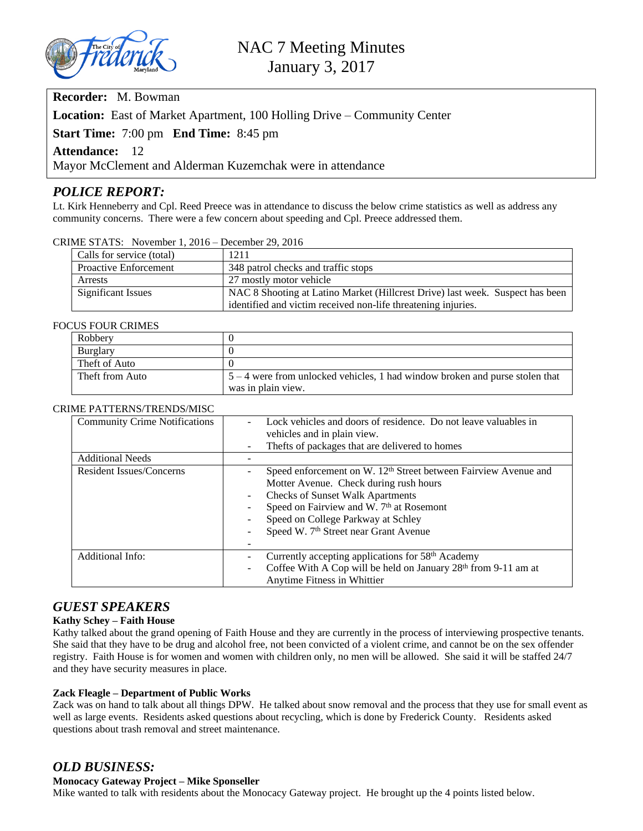

### **Recorder:** M. Bowman

**Location:** East of Market Apartment, 100 Holling Drive – Community Center

**Start Time:** 7:00 pm **End Time:** 8:45 pm

### **Attendance:** 12

Mayor McClement and Alderman Kuzemchak were in attendance

## *POLICE REPORT:*

Lt. Kirk Henneberry and Cpl. Reed Preece was in attendance to discuss the below crime statistics as well as address any community concerns. There were a few concern about speeding and Cpl. Preece addressed them.

#### CRIME STATS: November 1, 2016 – December 29, 2016

| Calls for service (total)    | 1211                                                                          |
|------------------------------|-------------------------------------------------------------------------------|
| <b>Proactive Enforcement</b> | 348 patrol checks and traffic stops                                           |
| Arrests                      | 27 mostly motor vehicle                                                       |
| Significant Issues           | NAC 8 Shooting at Latino Market (Hillcrest Drive) last week. Suspect has been |
|                              | identified and victim received non-life threatening injuries.                 |

#### FOCUS FOUR CRIMES

| Robbery         |                                                                                |
|-----------------|--------------------------------------------------------------------------------|
| Burglary        |                                                                                |
| Theft of Auto   |                                                                                |
| Theft from Auto | $5 - 4$ were from unlocked vehicles, 1 had window broken and purse stolen that |
|                 | was in plain view.                                                             |

#### CRIME PATTERNS/TRENDS/MISC

| <b>Community Crime Notifications</b> | Lock vehicles and doors of residence. Do not leave valuables in<br>vehicles and in plain view.                                                                                                                                                                                                                                                                |
|--------------------------------------|---------------------------------------------------------------------------------------------------------------------------------------------------------------------------------------------------------------------------------------------------------------------------------------------------------------------------------------------------------------|
|                                      | Thefts of packages that are delivered to homes<br>-                                                                                                                                                                                                                                                                                                           |
| <b>Additional Needs</b>              |                                                                                                                                                                                                                                                                                                                                                               |
| Resident Issues/Concerns             | Speed enforcement on W. 12 <sup>th</sup> Street between Fairview Avenue and<br>-<br>Motter Avenue. Check during rush hours<br><b>Checks of Sunset Walk Apartments</b><br>$\qquad \qquad \blacksquare$<br>Speed on Fairview and W. 7 <sup>th</sup> at Rosemont<br>-<br>Speed on College Parkway at Schley<br>Speed W. 7 <sup>th</sup> Street near Grant Avenue |
| Additional Info:                     | Currently accepting applications for 58 <sup>th</sup> Academy<br>Coffee With A Cop will be held on January 28 <sup>th</sup> from 9-11 am at<br>-<br>Anytime Fitness in Whittier                                                                                                                                                                               |

# *GUEST SPEAKERS*

#### **Kathy Schey – Faith House**

Kathy talked about the grand opening of Faith House and they are currently in the process of interviewing prospective tenants. She said that they have to be drug and alcohol free, not been convicted of a violent crime, and cannot be on the sex offender registry. Faith House is for women and women with children only, no men will be allowed. She said it will be staffed 24/7 and they have security measures in place.

#### **Zack Fleagle – Department of Public Works**

Zack was on hand to talk about all things DPW. He talked about snow removal and the process that they use for small event as well as large events. Residents asked questions about recycling, which is done by Frederick County. Residents asked questions about trash removal and street maintenance.

### *OLD BUSINESS:*

#### **Monocacy Gateway Project – Mike Sponseller**

Mike wanted to talk with residents about the Monocacy Gateway project. He brought up the 4 points listed below.